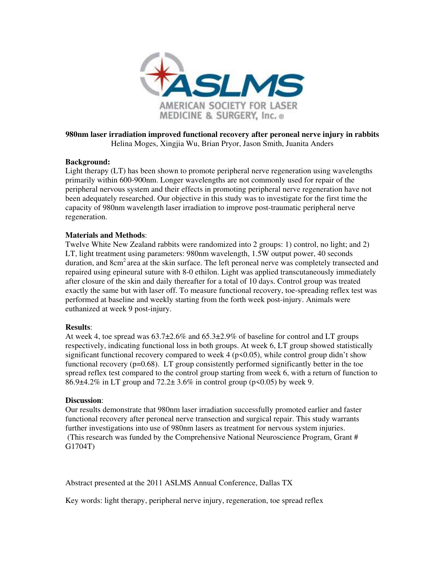

# **980nm laser irradiation improved functional recovery after peroneal nerve injury in rabbits**  Helina Moges, Xingjia Wu, Brian Pryor, Jason Smith, Juanita Anders

# **Background:**

Light therapy (LT) has been shown to promote peripheral nerve regeneration using wavelengths primarily within 600-900nm. Longer wavelengths are not commonly used for repair of the peripheral nervous system and their effects in promoting peripheral nerve regeneration have not been adequately researched. Our objective in this study was to investigate for the first time the capacity of 980nm wavelength laser irradiation to improve post-traumatic peripheral nerve regeneration.

### **Materials and Methods**:

Twelve White New Zealand rabbits were randomized into 2 groups: 1) control, no light; and 2) LT, light treatment using parameters: 980nm wavelength, 1.5W output power, 40 seconds duration, and  $8cm<sup>2</sup>$  area at the skin surface. The left peroneal nerve was completely transected and repaired using epineural suture with 8-0 ethilon. Light was applied transcutaneously immediately after closure of the skin and daily thereafter for a total of 10 days. Control group was treated exactly the same but with laser off. To measure functional recovery, toe-spreading reflex test was performed at baseline and weekly starting from the forth week post-injury. Animals were euthanized at week 9 post-injury.

### **Results**:

At week 4, toe spread was  $63.7\pm2.6\%$  and  $65.3\pm2.9\%$  of baseline for control and LT groups respectively, indicating functional loss in both groups. At week 6, LT group showed statistically significant functional recovery compared to week  $4 \times (p \times 0.05)$ , while control group didn't show functional recovery  $(p=0.68)$ . LT group consistently performed significantly better in the toe spread reflex test compared to the control group starting from week 6, with a return of function to 86.9 $\pm$ 4.2% in LT group and 72.2 $\pm$  3.6% in control group (p<0.05) by week 9.

### **Discussion**:

Our results demonstrate that 980nm laser irradiation successfully promoted earlier and faster functional recovery after peroneal nerve transection and surgical repair. This study warrants further investigations into use of 980nm lasers as treatment for nervous system injuries. (This research was funded by the Comprehensive National Neuroscience Program, Grant # G1704T)

Abstract presented at the 2011 ASLMS Annual Conference, Dallas TX

Key words: light therapy, peripheral nerve injury, regeneration, toe spread reflex